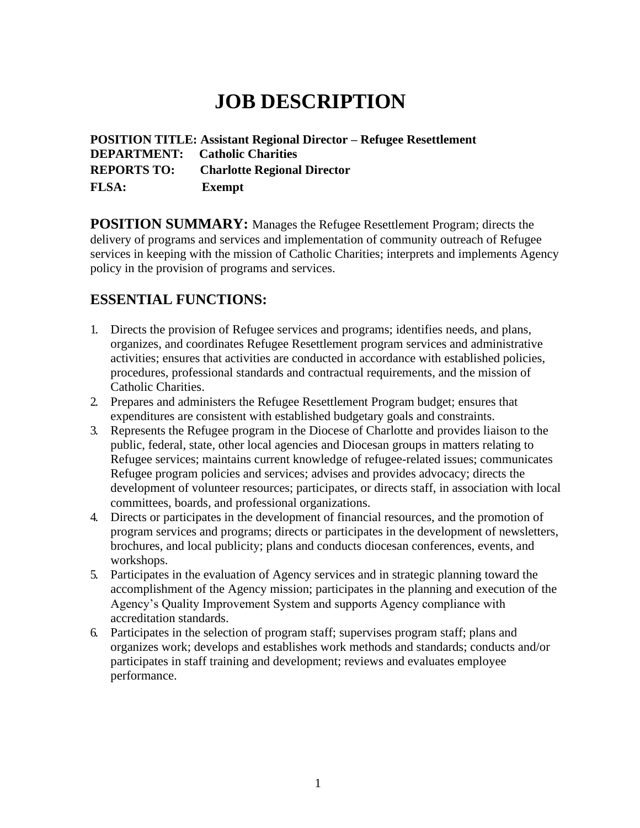## **JOB DESCRIPTION**

**POSITION TITLE: Assistant Regional Director – Refugee Resettlement DEPARTMENT: Catholic Charities REPORTS TO: Charlotte Regional Director FLSA: Exempt**

**POSITION SUMMARY:** Manages the Refugee Resettlement Program; directs the delivery of programs and services and implementation of community outreach of Refugee services in keeping with the mission of Catholic Charities; interprets and implements Agency policy in the provision of programs and services.

## **ESSENTIAL FUNCTIONS:**

- 1. Directs the provision of Refugee services and programs; identifies needs, and plans, organizes, and coordinates Refugee Resettlement program services and administrative activities; ensures that activities are conducted in accordance with established policies, procedures, professional standards and contractual requirements, and the mission of Catholic Charities.
- 2. Prepares and administers the Refugee Resettlement Program budget; ensures that expenditures are consistent with established budgetary goals and constraints.
- 3. Represents the Refugee program in the Diocese of Charlotte and provides liaison to the public, federal, state, other local agencies and Diocesan groups in matters relating to Refugee services; maintains current knowledge of refugee-related issues; communicates Refugee program policies and services; advises and provides advocacy; directs the development of volunteer resources; participates, or directs staff, in association with local committees, boards, and professional organizations.
- 4. Directs or participates in the development of financial resources, and the promotion of program services and programs; directs or participates in the development of newsletters, brochures, and local publicity; plans and conducts diocesan conferences, events, and workshops.
- 5. Participates in the evaluation of Agency services and in strategic planning toward the accomplishment of the Agency mission; participates in the planning and execution of the Agency's Quality Improvement System and supports Agency compliance with accreditation standards.
- 6. Participates in the selection of program staff; supervises program staff; plans and organizes work; develops and establishes work methods and standards; conducts and/or participates in staff training and development; reviews and evaluates employee performance.